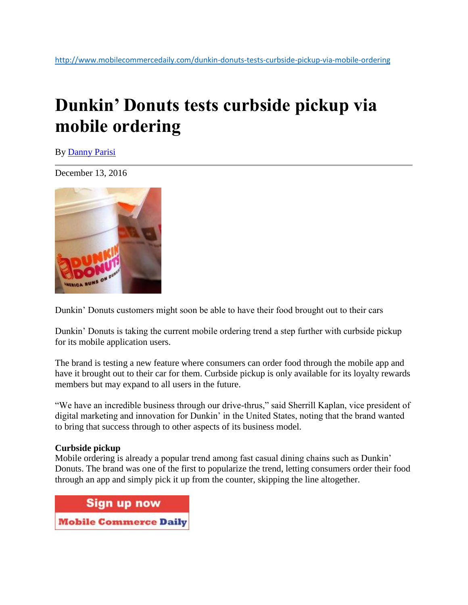## **Dunkin' Donuts tests curbside pickup via mobile ordering**

By [Danny Parisi](http://www.mobilecommercedaily.com/author/danny-parisi)

December 13, 2016



Dunkin' Donuts customers might soon be able to have their food brought out to their cars

Dunkin' Donuts is taking the current mobile ordering trend a step further with curbside pickup for its mobile application users.

The brand is testing a new feature where consumers can order food through the mobile app and have it brought out to their car for them. Curbside pickup is only available for its loyalty rewards members but may expand to all users in the future.

"We have an incredible business through our drive-thrus," said Sherrill Kaplan, vice president of digital marketing and innovation for Dunkin' in the United States, noting that the brand wanted to bring that success through to other aspects of its business model.

## **Curbside pickup**

Mobile ordering is already a popular trend among fast casual dining chains such as Dunkin' Donuts. The brand was one of the first to popularize the trend, letting consumers order their food through an app and simply pick it up from the counter, skipping the line altogether.

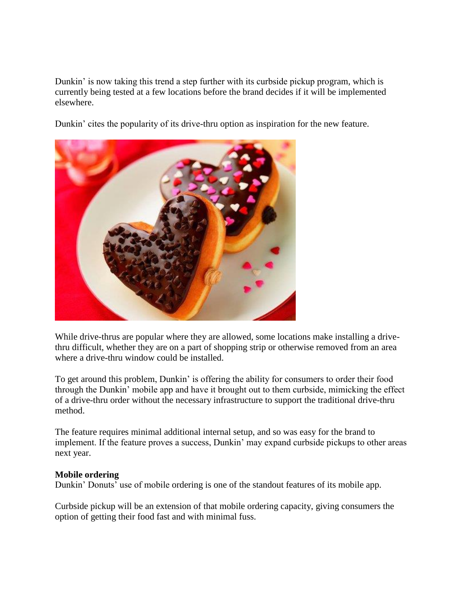Dunkin' is now taking this trend a step further with its curbside pickup program, which is currently being tested at a few locations before the brand decides if it will be implemented elsewhere.

Dunkin' cites the popularity of its drive-thru option as inspiration for the new feature.



While drive-thrus are popular where they are allowed, some locations make installing a drivethru difficult, whether they are on a part of shopping strip or otherwise removed from an area where a drive-thru window could be installed.

To get around this problem, Dunkin' is offering the ability for consumers to order their food through the Dunkin' mobile app and have it brought out to them curbside, mimicking the effect of a drive-thru order without the necessary infrastructure to support the traditional drive-thru method.

The feature requires minimal additional internal setup, and so was easy for the brand to implement. If the feature proves a success, Dunkin' may expand curbside pickups to other areas next year.

## **Mobile ordering**

Dunkin' Donuts' use of mobile ordering is one of the standout features of its mobile app.

Curbside pickup will be an extension of that mobile ordering capacity, giving consumers the option of getting their food fast and with minimal fuss.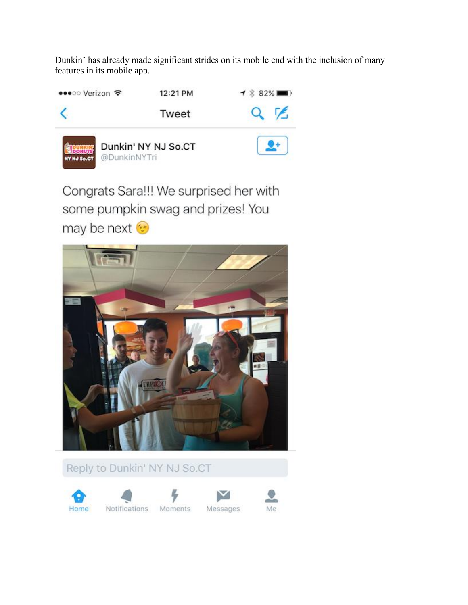Dunkin' has already made significant strides on its mobile end with the inclusion of many features in its mobile app.



Congrats Sara!!! We surprised her with some pumpkin swag and prizes! You may be next ⊙



Reply to Dunkin' NY NJ So.CT